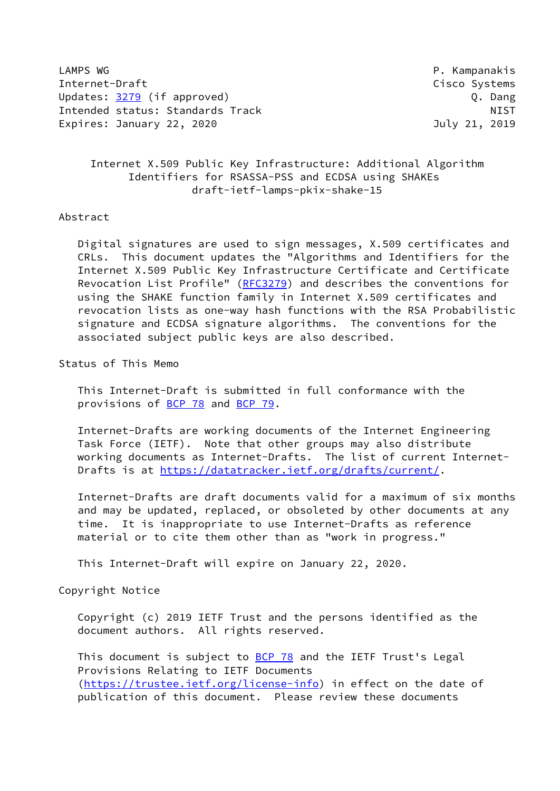LAMPS WG P. Kampanakis Internet-Draft Cisco Systems Updates: [3279](https://datatracker.ietf.org/doc/pdf/rfc3279) (if approved) 0. Dang Intended status: Standards Track NIST Expires: January 22, 2020 July 21, 2019

# Internet X.509 Public Key Infrastructure: Additional Algorithm Identifiers for RSASSA-PSS and ECDSA using SHAKEs draft-ietf-lamps-pkix-shake-15

### Abstract

 Digital signatures are used to sign messages, X.509 certificates and CRLs. This document updates the "Algorithms and Identifiers for the Internet X.509 Public Key Infrastructure Certificate and Certificate Revocation List Profile" [\(RFC3279](https://datatracker.ietf.org/doc/pdf/rfc3279)) and describes the conventions for using the SHAKE function family in Internet X.509 certificates and revocation lists as one-way hash functions with the RSA Probabilistic signature and ECDSA signature algorithms. The conventions for the associated subject public keys are also described.

Status of This Memo

 This Internet-Draft is submitted in full conformance with the provisions of [BCP 78](https://datatracker.ietf.org/doc/pdf/bcp78) and [BCP 79](https://datatracker.ietf.org/doc/pdf/bcp79).

 Internet-Drafts are working documents of the Internet Engineering Task Force (IETF). Note that other groups may also distribute working documents as Internet-Drafts. The list of current Internet- Drafts is at<https://datatracker.ietf.org/drafts/current/>.

 Internet-Drafts are draft documents valid for a maximum of six months and may be updated, replaced, or obsoleted by other documents at any time. It is inappropriate to use Internet-Drafts as reference material or to cite them other than as "work in progress."

This Internet-Draft will expire on January 22, 2020.

Copyright Notice

 Copyright (c) 2019 IETF Trust and the persons identified as the document authors. All rights reserved.

This document is subject to **[BCP 78](https://datatracker.ietf.org/doc/pdf/bcp78)** and the IETF Trust's Legal Provisions Relating to IETF Documents [\(https://trustee.ietf.org/license-info](https://trustee.ietf.org/license-info)) in effect on the date of publication of this document. Please review these documents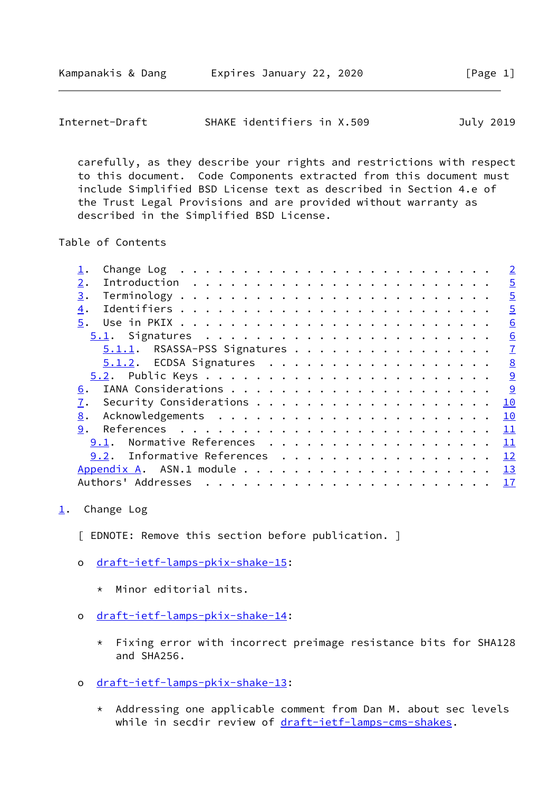<span id="page-1-1"></span>

| SHAKE identifiers in X.509<br>Internet-Draft |  | July 2019 |
|----------------------------------------------|--|-----------|
|----------------------------------------------|--|-----------|

 carefully, as they describe your rights and restrictions with respect to this document. Code Components extracted from this document must include Simplified BSD License text as described in Section 4.e of the Trust Legal Provisions and are provided without warranty as described in the Simplified BSD License.

Table of Contents

| Change Log $\ldots$ $\ldots$ $\ldots$ $\ldots$ $\ldots$ $\ldots$ $\ldots$ $\ldots$ $\ldots$ $\ldots$ | $\overline{\phantom{0}}$ 2 |
|------------------------------------------------------------------------------------------------------|----------------------------|
| 2.                                                                                                   | $\overline{5}$             |
| 3.                                                                                                   | $\overline{5}$             |
| 4.                                                                                                   | $\overline{5}$             |
|                                                                                                      | 6                          |
|                                                                                                      | 6                          |
| 5.1.1. RSASSA-PSS Signatures                                                                         | $\overline{1}$             |
| 5.1.2. ECDSA Signatures                                                                              | 8                          |
|                                                                                                      | 9                          |
| 6.                                                                                                   |                            |
| 7.                                                                                                   | 10                         |
| 8.                                                                                                   | 10                         |
| 9.                                                                                                   | 11                         |
| Normative References<br>9.1.                                                                         | 11                         |
| 9.2. Informative References                                                                          | 12                         |
|                                                                                                      |                            |
| Authors' Addresses                                                                                   | $\frac{17}{2}$             |
|                                                                                                      |                            |

### <span id="page-1-0"></span> $1.$  $1.$  Change Log

[ EDNOTE: Remove this section before publication. ]

- o [draft-ietf-lamps-pkix-shake-15](https://datatracker.ietf.org/doc/pdf/draft-ietf-lamps-pkix-shake-15):
	- \* Minor editorial nits.
- o [draft-ietf-lamps-pkix-shake-14](https://datatracker.ietf.org/doc/pdf/draft-ietf-lamps-pkix-shake-14):
	- \* Fixing error with incorrect preimage resistance bits for SHA128 and SHA256.
- o [draft-ietf-lamps-pkix-shake-13](https://datatracker.ietf.org/doc/pdf/draft-ietf-lamps-pkix-shake-13):
	- \* Addressing one applicable comment from Dan M. about sec levels while in secdir review of [draft-ietf-lamps-cms-shakes](https://datatracker.ietf.org/doc/pdf/draft-ietf-lamps-cms-shakes).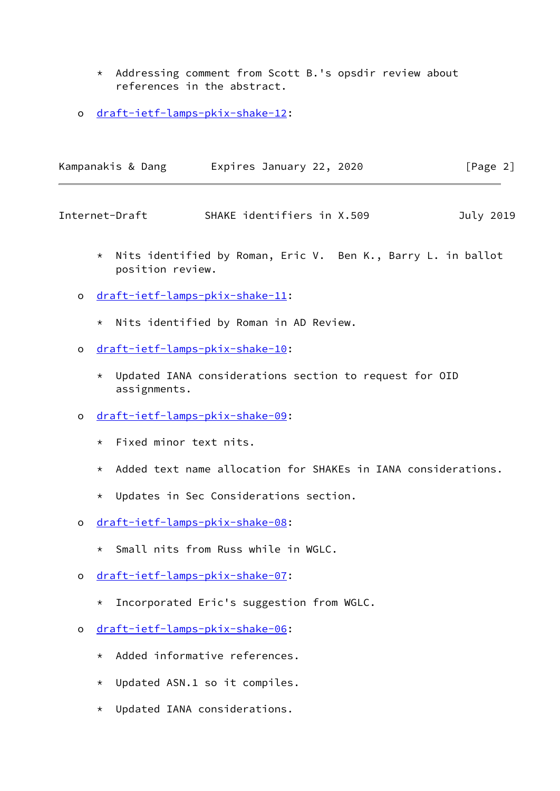- \* Addressing comment from Scott B.'s opsdir review about references in the abstract.
- o [draft-ietf-lamps-pkix-shake-12](https://datatracker.ietf.org/doc/pdf/draft-ietf-lamps-pkix-shake-12):

| Kampanakis & Dang | Expires January 22, 2020 | [Page 2] |
|-------------------|--------------------------|----------|
|                   |                          |          |

- \* Nits identified by Roman, Eric V. Ben K., Barry L. in ballot position review.
- o [draft-ietf-lamps-pkix-shake-11](https://datatracker.ietf.org/doc/pdf/draft-ietf-lamps-pkix-shake-11):
	- \* Nits identified by Roman in AD Review.
- o [draft-ietf-lamps-pkix-shake-10](https://datatracker.ietf.org/doc/pdf/draft-ietf-lamps-pkix-shake-10):
	- \* Updated IANA considerations section to request for OID assignments.
- o [draft-ietf-lamps-pkix-shake-09](https://datatracker.ietf.org/doc/pdf/draft-ietf-lamps-pkix-shake-09):
	- \* Fixed minor text nits.
	- \* Added text name allocation for SHAKEs in IANA considerations.
	- \* Updates in Sec Considerations section.
- o [draft-ietf-lamps-pkix-shake-08](https://datatracker.ietf.org/doc/pdf/draft-ietf-lamps-pkix-shake-08):
	- \* Small nits from Russ while in WGLC.
- o [draft-ietf-lamps-pkix-shake-07](https://datatracker.ietf.org/doc/pdf/draft-ietf-lamps-pkix-shake-07):
	- \* Incorporated Eric's suggestion from WGLC.
- o [draft-ietf-lamps-pkix-shake-06](https://datatracker.ietf.org/doc/pdf/draft-ietf-lamps-pkix-shake-06):
	- \* Added informative references.
	- \* Updated ASN.1 so it compiles.
	- \* Updated IANA considerations.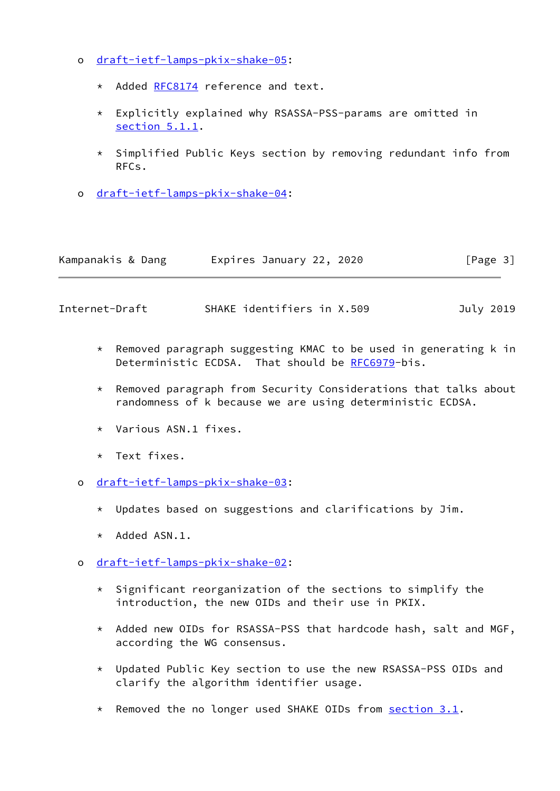- o [draft-ietf-lamps-pkix-shake-05](https://datatracker.ietf.org/doc/pdf/draft-ietf-lamps-pkix-shake-05):
	- \* Added [RFC8174](https://datatracker.ietf.org/doc/pdf/rfc8174) reference and text.
	- \* Explicitly explained why RSASSA-PSS-params are omitted in [section 5.1.1.](#page-7-0)
	- \* Simplified Public Keys section by removing redundant info from RFCs.
- o [draft-ietf-lamps-pkix-shake-04](https://datatracker.ietf.org/doc/pdf/draft-ietf-lamps-pkix-shake-04):

| Kampanakis & Dang | Expires January 22, 2020 |  | [Page 3] |
|-------------------|--------------------------|--|----------|
|-------------------|--------------------------|--|----------|

- \* Removed paragraph suggesting KMAC to be used in generating k in Deterministic ECDSA. That should be [RFC6979](https://datatracker.ietf.org/doc/pdf/rfc6979)-bis.
- \* Removed paragraph from Security Considerations that talks about randomness of k because we are using deterministic ECDSA.
- \* Various ASN.1 fixes.
- \* Text fixes.
- o [draft-ietf-lamps-pkix-shake-03](https://datatracker.ietf.org/doc/pdf/draft-ietf-lamps-pkix-shake-03):
	- \* Updates based on suggestions and clarifications by Jim.
	- \* Added ASN.1.
- o [draft-ietf-lamps-pkix-shake-02](https://datatracker.ietf.org/doc/pdf/draft-ietf-lamps-pkix-shake-02):
	- \* Significant reorganization of the sections to simplify the introduction, the new OIDs and their use in PKIX.
	- \* Added new OIDs for RSASSA-PSS that hardcode hash, salt and MGF, according the WG consensus.
	- \* Updated Public Key section to use the new RSASSA-PSS OIDs and clarify the algorithm identifier usage.
	- \* Removed the no longer used SHAKE OIDs from section 3.1.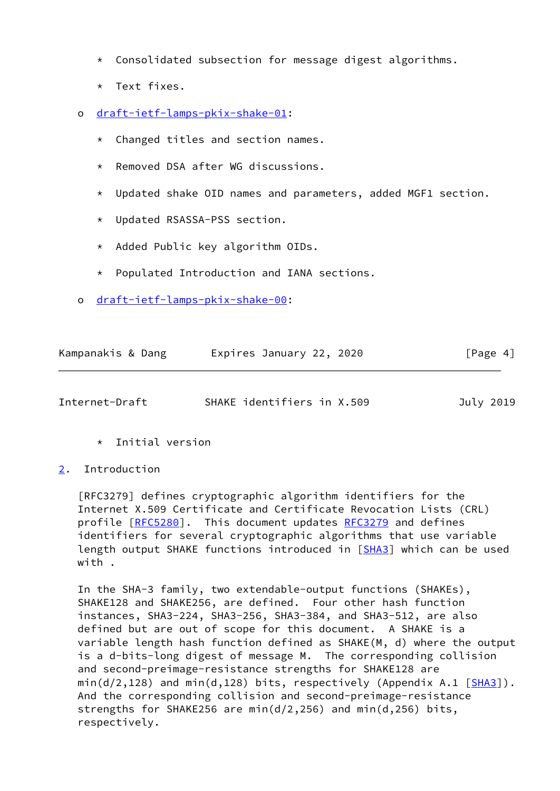- \* Consolidated subsection for message digest algorithms.
- \* Text fixes.
- o [draft-ietf-lamps-pkix-shake-01](https://datatracker.ietf.org/doc/pdf/draft-ietf-lamps-pkix-shake-01):
	- \* Changed titles and section names.
	- \* Removed DSA after WG discussions.
	- \* Updated shake OID names and parameters, added MGF1 section.
	- \* Updated RSASSA-PSS section.
	- \* Added Public key algorithm OIDs.
	- \* Populated Introduction and IANA sections.
- o [draft-ietf-lamps-pkix-shake-00](https://datatracker.ietf.org/doc/pdf/draft-ietf-lamps-pkix-shake-00):

| Kampanakis & Dang | Expires January 22, 2020 | [Page 4] |
|-------------------|--------------------------|----------|
|-------------------|--------------------------|----------|

<span id="page-4-1"></span>

| Internet-Draft | SHAKE identifiers in X.509 | July 2019 |  |
|----------------|----------------------------|-----------|--|
|                |                            |           |  |

- \* Initial version
- <span id="page-4-0"></span>[2](#page-4-0). Introduction

 [RFC3279] defines cryptographic algorithm identifiers for the Internet X.509 Certificate and Certificate Revocation Lists (CRL) profile [\[RFC5280](https://datatracker.ietf.org/doc/pdf/rfc5280)]. This document updates [RFC3279](https://datatracker.ietf.org/doc/pdf/rfc3279) and defines identifiers for several cryptographic algorithms that use variable length output SHAKE functions introduced in [\[SHA3](#page-12-2)] which can be used with .

 In the SHA-3 family, two extendable-output functions (SHAKEs), SHAKE128 and SHAKE256, are defined. Four other hash function instances, SHA3-224, SHA3-256, SHA3-384, and SHA3-512, are also defined but are out of scope for this document. A SHAKE is a variable length hash function defined as SHAKE(M, d) where the output is a d-bits-long digest of message M. The corresponding collision and second-preimage-resistance strengths for SHAKE128 are  $min(d/2, 128)$  and  $min(d, 128)$  bits, respectively (Appendix A.1 [\[SHA3](#page-12-2)]). And the corresponding collision and second-preimage-resistance strengths for SHAKE256 are min(d/2,256) and min(d,256) bits, respectively.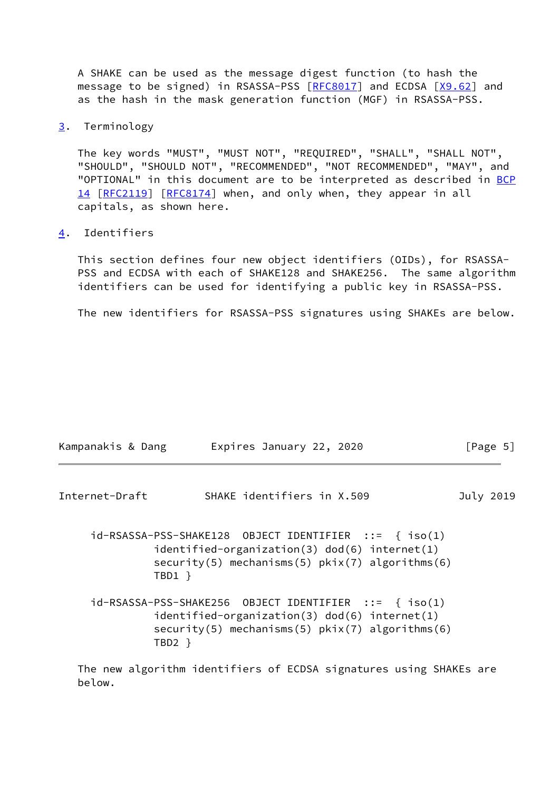A SHAKE can be used as the message digest function (to hash the message to be signed) in RSASSA-PSS [\[RFC8017](https://datatracker.ietf.org/doc/pdf/rfc8017)] and ECDSA [\[X9.62](#page-13-2)] and as the hash in the mask generation function (MGF) in RSASSA-PSS.

<span id="page-5-0"></span>[3](#page-5-0). Terminology

 The key words "MUST", "MUST NOT", "REQUIRED", "SHALL", "SHALL NOT", "SHOULD", "SHOULD NOT", "RECOMMENDED", "NOT RECOMMENDED", "MAY", and "OPTIONAL" in this document are to be interpreted as described in [BCP](https://datatracker.ietf.org/doc/pdf/bcp14) [14](https://datatracker.ietf.org/doc/pdf/bcp14) [[RFC2119\]](https://datatracker.ietf.org/doc/pdf/rfc2119) [\[RFC8174](https://datatracker.ietf.org/doc/pdf/rfc8174)] when, and only when, they appear in all capitals, as shown here.

<span id="page-5-1"></span>[4](#page-5-1). Identifiers

 This section defines four new object identifiers (OIDs), for RSASSA- PSS and ECDSA with each of SHAKE128 and SHAKE256. The same algorithm identifiers can be used for identifying a public key in RSASSA-PSS.

The new identifiers for RSASSA-PSS signatures using SHAKEs are below.

<span id="page-5-2"></span>

| Kampanakis & Dang | Expires January 22, 2020                                                                                                                                          | [Page 5]  |
|-------------------|-------------------------------------------------------------------------------------------------------------------------------------------------------------------|-----------|
| Internet-Draft    | SHAKE identifiers in X.509                                                                                                                                        | July 2019 |
|                   | $id-RSASSA-PSS-SHAKE128$ OBJECT IDENTIFIER ::= { $iso(1)$<br>identified-organization(3) dod(6) internet(1)<br>$security(5)$ mechanisms(5) $pkix(7)$ algorithms(6) |           |

 id-RSASSA-PSS-SHAKE256 OBJECT IDENTIFIER ::= { iso(1) identified-organization(3) dod(6) internet(1) security(5) mechanisms(5) pkix(7) algorithms(6) TBD2 }

TBD1 }

 The new algorithm identifiers of ECDSA signatures using SHAKEs are below.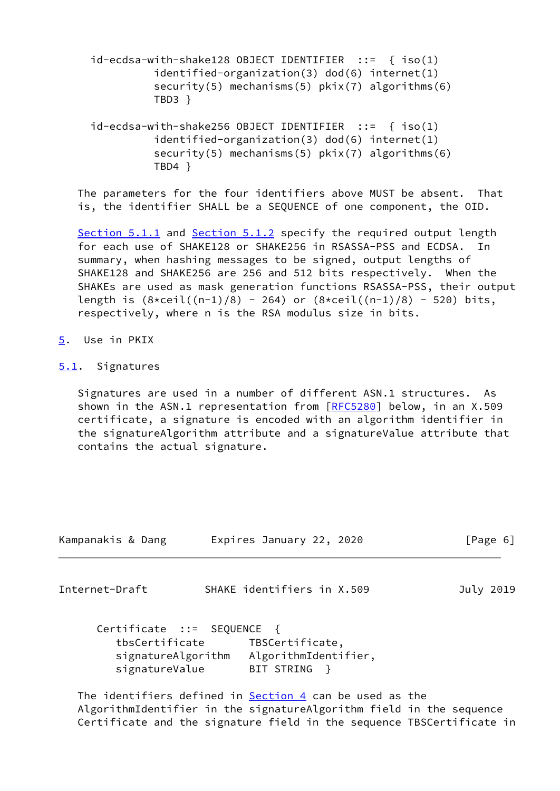id-ecdsa-with-shake128 OBJECT IDENTIFIER ::= { iso(1) identified-organization(3) dod(6) internet(1) security(5) mechanisms(5)  $pkix(7)$  algorithms(6) TBD3 }

 id-ecdsa-with-shake256 OBJECT IDENTIFIER ::= { iso(1) identified-organization(3) dod(6) internet(1) security(5) mechanisms(5) pkix(7) algorithms(6) TBD4 }

 The parameters for the four identifiers above MUST be absent. That is, the identifier SHALL be a SEQUENCE of one component, the OID.

[Section 5.1.1](#page-7-0) and [Section 5.1.2](#page-8-0) specify the required output length for each use of SHAKE128 or SHAKE256 in RSASSA-PSS and ECDSA. In summary, when hashing messages to be signed, output lengths of SHAKE128 and SHAKE256 are 256 and 512 bits respectively. When the SHAKEs are used as mask generation functions RSASSA-PSS, their output length is  $(8 \times \text{ceil}((n-1)/8) - 264)$  or  $(8 \times \text{ceil}((n-1)/8) - 520)$  bits, respectively, where n is the RSA modulus size in bits.

<span id="page-6-0"></span>[5](#page-6-0). Use in PKIX

### <span id="page-6-1"></span>[5.1](#page-6-1). Signatures

 Signatures are used in a number of different ASN.1 structures. As shown in the ASN.1 representation from [\[RFC5280](https://datatracker.ietf.org/doc/pdf/rfc5280)] below, in an X.509 certificate, a signature is encoded with an algorithm identifier in the signatureAlgorithm attribute and a signatureValue attribute that contains the actual signature.

<span id="page-6-2"></span>

| Kampanakis & Dang                                                                    | Expires January 22, 2020                                | [Page 6]  |
|--------------------------------------------------------------------------------------|---------------------------------------------------------|-----------|
| Internet-Draft                                                                       | SHAKE identifiers in X.509                              | July 2019 |
| Certificate ::= SEQUENCE {<br>tbsCertificate<br>signatureAlgorithm<br>signatureValue | TBSCertificate,<br>AlgorithmIdentifier,<br>BIT STRING   |           |
|                                                                                      | The identifiers defined in Section 4 can be used as the |           |

 AlgorithmIdentifier in the signatureAlgorithm field in the sequence Certificate and the signature field in the sequence TBSCertificate in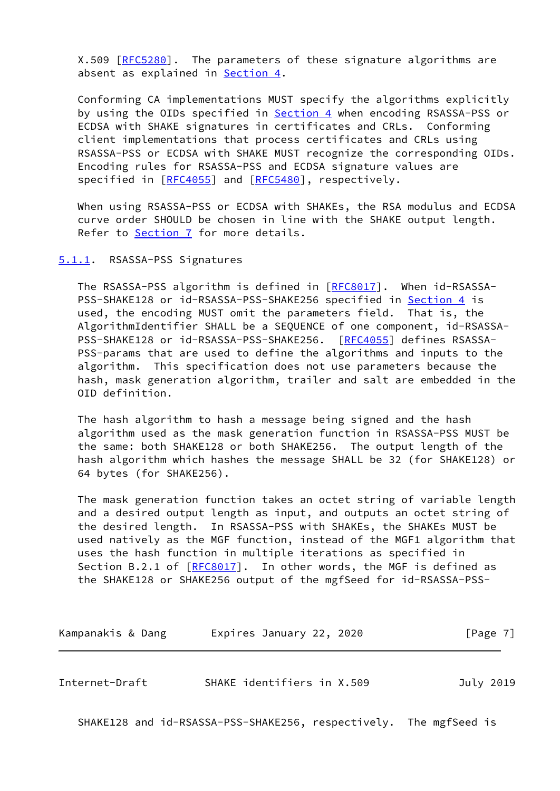X.509 [[RFC5280](https://datatracker.ietf.org/doc/pdf/rfc5280)]. The parameters of these signature algorithms are absent as explained in **[Section 4.](#page-5-1)** 

 Conforming CA implementations MUST specify the algorithms explicitly by using the OIDs specified in [Section 4](#page-5-1) when encoding RSASSA-PSS or ECDSA with SHAKE signatures in certificates and CRLs. Conforming client implementations that process certificates and CRLs using RSASSA-PSS or ECDSA with SHAKE MUST recognize the corresponding OIDs. Encoding rules for RSASSA-PSS and ECDSA signature values are specified in [\[RFC4055](https://datatracker.ietf.org/doc/pdf/rfc4055)] and [[RFC5480\]](https://datatracker.ietf.org/doc/pdf/rfc5480), respectively.

 When using RSASSA-PSS or ECDSA with SHAKEs, the RSA modulus and ECDSA curve order SHOULD be chosen in line with the SHAKE output length. Refer to [Section 7](#page-10-0) for more details.

#### <span id="page-7-0"></span>[5.1.1](#page-7-0). RSASSA-PSS Signatures

 The RSASSA-PSS algorithm is defined in [\[RFC8017](https://datatracker.ietf.org/doc/pdf/rfc8017)]. When id-RSASSA- PSS-SHAKE128 or id-RSASSA-PSS-SHAKE256 specified in [Section 4](#page-5-1) is used, the encoding MUST omit the parameters field. That is, the AlgorithmIdentifier SHALL be a SEQUENCE of one component, id-RSASSA- PSS-SHAKE128 or id-RSASSA-PSS-SHAKE256. [\[RFC4055](https://datatracker.ietf.org/doc/pdf/rfc4055)] defines RSASSA- PSS-params that are used to define the algorithms and inputs to the algorithm. This specification does not use parameters because the hash, mask generation algorithm, trailer and salt are embedded in the OID definition.

 The hash algorithm to hash a message being signed and the hash algorithm used as the mask generation function in RSASSA-PSS MUST be the same: both SHAKE128 or both SHAKE256. The output length of the hash algorithm which hashes the message SHALL be 32 (for SHAKE128) or 64 bytes (for SHAKE256).

 The mask generation function takes an octet string of variable length and a desired output length as input, and outputs an octet string of the desired length. In RSASSA-PSS with SHAKEs, the SHAKEs MUST be used natively as the MGF function, instead of the MGF1 algorithm that uses the hash function in multiple iterations as specified in Section B.2.1 of [\[RFC8017](https://datatracker.ietf.org/doc/pdf/rfc8017)]. In other words, the MGF is defined as the SHAKE128 or SHAKE256 output of the mgfSeed for id-RSASSA-PSS-

| Kampanakis & Dang | Expires January 22, 2020 |  | [Page 7] |
|-------------------|--------------------------|--|----------|
|-------------------|--------------------------|--|----------|

<span id="page-7-1"></span>Internet-Draft SHAKE identifiers in X.509 July 2019

SHAKE128 and id-RSASSA-PSS-SHAKE256, respectively. The mgfSeed is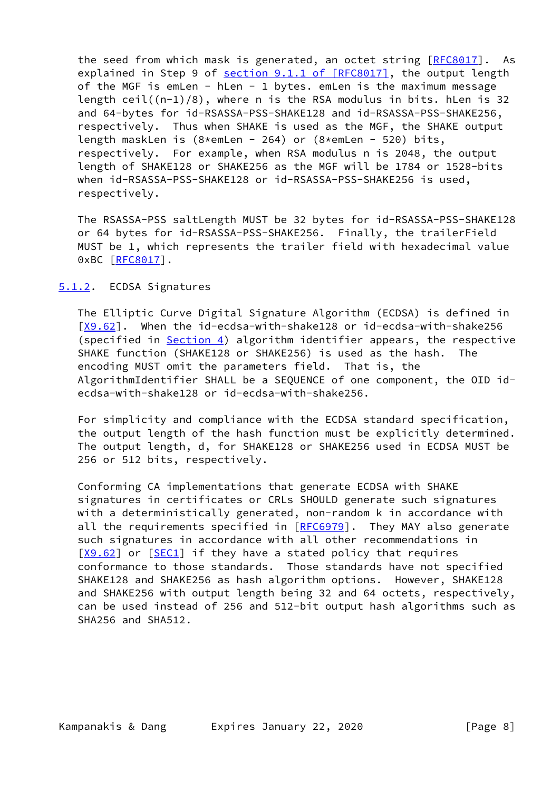the seed from which mask is generated, an octet string [\[RFC8017](https://datatracker.ietf.org/doc/pdf/rfc8017)]. As explained in Step 9 of section [9.1.1 of \[RFC8017\],](https://datatracker.ietf.org/doc/pdf/rfc8017#section-9.1.1) the output length of the MGF is emLen - hLen - 1 bytes. emLen is the maximum message length ceil $((n-1)/8)$ , where n is the RSA modulus in bits. hLen is 32 and 64-bytes for id-RSASSA-PSS-SHAKE128 and id-RSASSA-PSS-SHAKE256, respectively. Thus when SHAKE is used as the MGF, the SHAKE output length maskLen is  $(8*emLen - 264)$  or  $(8*emLen - 520)$  bits, respectively. For example, when RSA modulus n is 2048, the output length of SHAKE128 or SHAKE256 as the MGF will be 1784 or 1528-bits when id-RSASSA-PSS-SHAKE128 or id-RSASSA-PSS-SHAKE256 is used, respectively.

 The RSASSA-PSS saltLength MUST be 32 bytes for id-RSASSA-PSS-SHAKE128 or 64 bytes for id-RSASSA-PSS-SHAKE256. Finally, the trailerField MUST be 1, which represents the trailer field with hexadecimal value 0xBC [\[RFC8017](https://datatracker.ietf.org/doc/pdf/rfc8017)].

### <span id="page-8-0"></span>[5.1.2](#page-8-0). ECDSA Signatures

 The Elliptic Curve Digital Signature Algorithm (ECDSA) is defined in [\[X9.62](#page-13-2)]. When the id-ecdsa-with-shake128 or id-ecdsa-with-shake256 (specified in [Section 4\)](#page-5-1) algorithm identifier appears, the respective SHAKE function (SHAKE128 or SHAKE256) is used as the hash. The encoding MUST omit the parameters field. That is, the AlgorithmIdentifier SHALL be a SEQUENCE of one component, the OID id ecdsa-with-shake128 or id-ecdsa-with-shake256.

 For simplicity and compliance with the ECDSA standard specification, the output length of the hash function must be explicitly determined. The output length, d, for SHAKE128 or SHAKE256 used in ECDSA MUST be 256 or 512 bits, respectively.

 Conforming CA implementations that generate ECDSA with SHAKE signatures in certificates or CRLs SHOULD generate such signatures with a deterministically generated, non-random k in accordance with all the requirements specified in [[RFC6979](https://datatracker.ietf.org/doc/pdf/rfc6979)]. They MAY also generate such signatures in accordance with all other recommendations in [\[X9.62](#page-13-2)] or [[SEC1\]](#page-12-3) if they have a stated policy that requires conformance to those standards. Those standards have not specified SHAKE128 and SHAKE256 as hash algorithm options. However, SHAKE128 and SHAKE256 with output length being 32 and 64 octets, respectively, can be used instead of 256 and 512-bit output hash algorithms such as SHA256 and SHA512.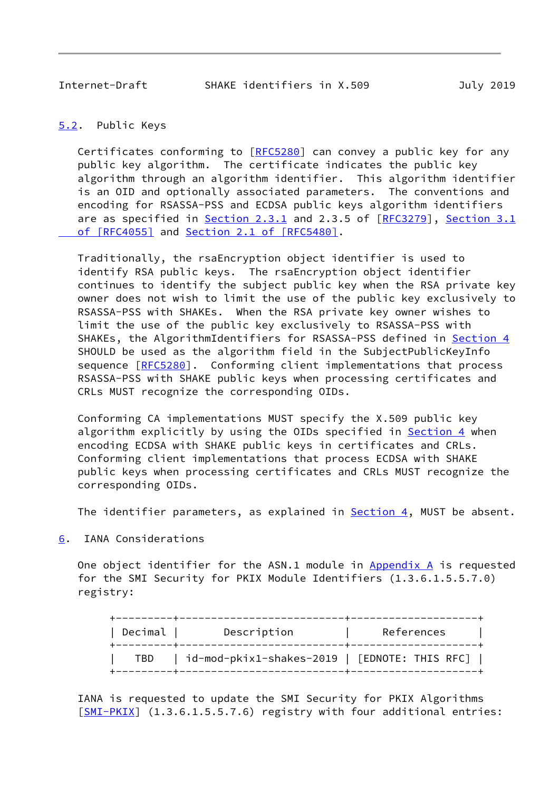# <span id="page-9-1"></span><span id="page-9-0"></span>[5.2](#page-9-0). Public Keys

 Certificates conforming to [[RFC5280\]](https://datatracker.ietf.org/doc/pdf/rfc5280) can convey a public key for any public key algorithm. The certificate indicates the public key algorithm through an algorithm identifier. This algorithm identifier is an OID and optionally associated parameters. The conventions and encoding for RSASSA-PSS and ECDSA public keys algorithm identifiers are as specified in Section 2.3.1 and 2.3.5 of [\[RFC3279](https://datatracker.ietf.org/doc/pdf/rfc3279)], [Section](https://datatracker.ietf.org/doc/pdf/rfc4055#section-3.1) 3.1 of [RFC4055] and Section [2.1 of \[RFC5480\]](https://datatracker.ietf.org/doc/pdf/rfc5480#section-2.1).

 Traditionally, the rsaEncryption object identifier is used to identify RSA public keys. The rsaEncryption object identifier continues to identify the subject public key when the RSA private key owner does not wish to limit the use of the public key exclusively to RSASSA-PSS with SHAKEs. When the RSA private key owner wishes to limit the use of the public key exclusively to RSASSA-PSS with SHAKEs, the AlgorithmIdentifiers for RSASSA-PSS defined in [Section 4](#page-5-1) SHOULD be used as the algorithm field in the SubjectPublicKeyInfo sequence  $[REC5280]$ . Conforming client implementations that process RSASSA-PSS with SHAKE public keys when processing certificates and CRLs MUST recognize the corresponding OIDs.

 Conforming CA implementations MUST specify the X.509 public key algorithm explicitly by using the OIDs specified in [Section 4](#page-5-1) when encoding ECDSA with SHAKE public keys in certificates and CRLs. Conforming client implementations that process ECDSA with SHAKE public keys when processing certificates and CRLs MUST recognize the corresponding OIDs.

The identifier parameters, as explained in **Section 4**, MUST be absent.

<span id="page-9-2"></span>[6](#page-9-2). IANA Considerations

One object identifier for the ASN.1 module in  $Appendix A$  is requested for the SMI Security for PKIX Module Identifiers (1.3.6.1.5.5.7.0) registry:

| Decimal | Description                                      | References |
|---------|--------------------------------------------------|------------|
| TBD     | $id$ -mod-pkix1-shakes-2019   [EDNOTE: THIS RFC] |            |

 IANA is requested to update the SMI Security for PKIX Algorithms [\[SMI-PKIX](#page-13-3)] (1.3.6.1.5.5.7.6) registry with four additional entries: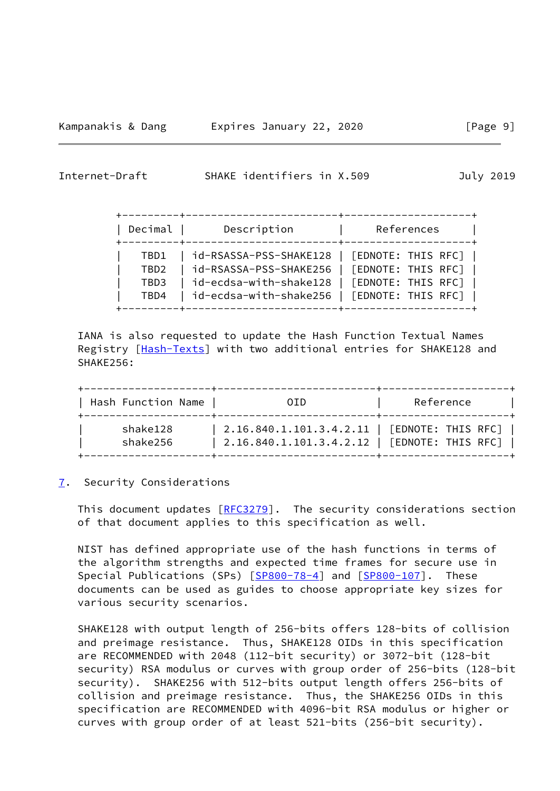<span id="page-10-1"></span>

| Decimal      | Description                                                                                    | References |
|--------------|------------------------------------------------------------------------------------------------|------------|
| TBD1<br>TBD2 | id-RSASSA-PSS-SHAKE128   [EDNOTE: THIS RFC]  <br>  id-RSASSA-PSS-SHAKE256   [EDNOTE: THIS RFC] |            |
| TBD3<br>TBD4 | id-ecdsa-with-shake128   [EDNOTE: THIS RFC]<br>  id-ecdsa-with-shake256   [EDNOTE: THIS RFC]   |            |

 IANA is also requested to update the Hash Function Textual Names Registry [\[Hash-Texts\]](#page-12-4) with two additional entries for SHAKE128 and SHAKE256:

| Hash Function Name<br>. _ _ _ _ _ _ _ _ _ _ _ _ _ _ _ | 0ID.                                                                                             | Reference |
|-------------------------------------------------------|--------------------------------------------------------------------------------------------------|-----------|
| shake128<br>shake256                                  | 2.16.840.1.101.3.4.2.11   [EDNOTE: THIS RFC]  <br>  2.16.840.1.101.3.4.2.12   [EDNOTE: THIS RFC] |           |

### <span id="page-10-0"></span>[7](#page-10-0). Security Considerations

This document updates  $[REC3279]$ . The security considerations section of that document applies to this specification as well.

 NIST has defined appropriate use of the hash functions in terms of the algorithm strengths and expected time frames for secure use in Special Publications (SPs) [[SP800-78-4\]](#page-13-4) and [\[SP800-107](#page-13-5)]. These documents can be used as guides to choose appropriate key sizes for various security scenarios.

 SHAKE128 with output length of 256-bits offers 128-bits of collision and preimage resistance. Thus, SHAKE128 OIDs in this specification are RECOMMENDED with 2048 (112-bit security) or 3072-bit (128-bit security) RSA modulus or curves with group order of 256-bits (128-bit security). SHAKE256 with 512-bits output length offers 256-bits of collision and preimage resistance. Thus, the SHAKE256 OIDs in this specification are RECOMMENDED with 4096-bit RSA modulus or higher or curves with group order of at least 521-bits (256-bit security).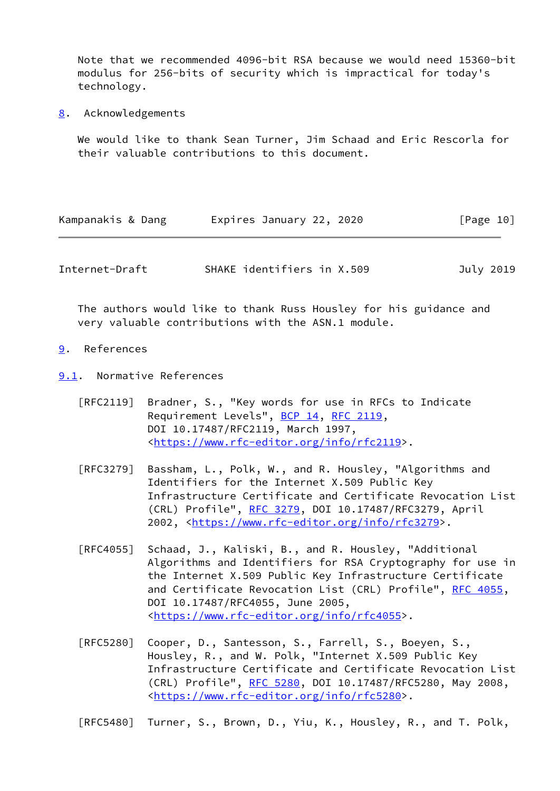Note that we recommended 4096-bit RSA because we would need 15360-bit modulus for 256-bits of security which is impractical for today's technology.

<span id="page-11-0"></span>[8](#page-11-0). Acknowledgements

 We would like to thank Sean Turner, Jim Schaad and Eric Rescorla for their valuable contributions to this document.

| Kampanakis & Dang | Expires January 22, 2020 | [Page 10] |
|-------------------|--------------------------|-----------|
|                   |                          |           |

<span id="page-11-2"></span>Internet-Draft SHAKE identifiers in X.509 July 2019

 The authors would like to thank Russ Housley for his guidance and very valuable contributions with the ASN.1 module.

<span id="page-11-1"></span>[9](#page-11-1). References

<span id="page-11-3"></span>[9.1](#page-11-3). Normative References

- [RFC2119] Bradner, S., "Key words for use in RFCs to Indicate Requirement Levels", [BCP 14](https://datatracker.ietf.org/doc/pdf/bcp14), [RFC 2119](https://datatracker.ietf.org/doc/pdf/rfc2119), DOI 10.17487/RFC2119, March 1997, <[https://www.rfc-editor.org/info/rfc2119>](https://www.rfc-editor.org/info/rfc2119).
- [RFC3279] Bassham, L., Polk, W., and R. Housley, "Algorithms and Identifiers for the Internet X.509 Public Key Infrastructure Certificate and Certificate Revocation List (CRL) Profile", [RFC 3279,](https://datatracker.ietf.org/doc/pdf/rfc3279) DOI 10.17487/RFC3279, April 2002, [<https://www.rfc-editor.org/info/rfc3279](https://www.rfc-editor.org/info/rfc3279)>.
- [RFC4055] Schaad, J., Kaliski, B., and R. Housley, "Additional Algorithms and Identifiers for RSA Cryptography for use in the Internet X.509 Public Key Infrastructure Certificate and Certificate Revocation List (CRL) Profile", [RFC 4055,](https://datatracker.ietf.org/doc/pdf/rfc4055) DOI 10.17487/RFC4055, June 2005, <[https://www.rfc-editor.org/info/rfc4055>](https://www.rfc-editor.org/info/rfc4055).
- [RFC5280] Cooper, D., Santesson, S., Farrell, S., Boeyen, S., Housley, R., and W. Polk, "Internet X.509 Public Key Infrastructure Certificate and Certificate Revocation List (CRL) Profile", [RFC 5280,](https://datatracker.ietf.org/doc/pdf/rfc5280) DOI 10.17487/RFC5280, May 2008, <[https://www.rfc-editor.org/info/rfc5280>](https://www.rfc-editor.org/info/rfc5280).

[RFC5480] Turner, S., Brown, D., Yiu, K., Housley, R., and T. Polk,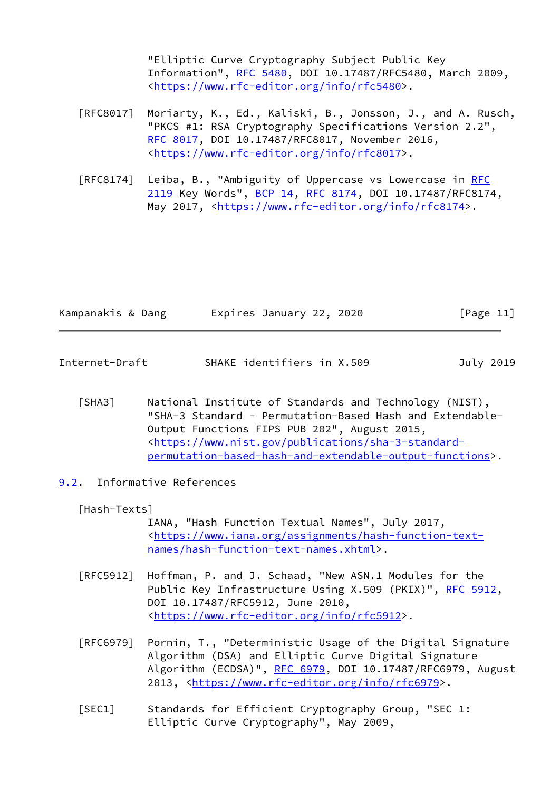"Elliptic Curve Cryptography Subject Public Key Information", [RFC 5480](https://datatracker.ietf.org/doc/pdf/rfc5480), DOI 10.17487/RFC5480, March 2009, <[https://www.rfc-editor.org/info/rfc5480>](https://www.rfc-editor.org/info/rfc5480).

- [RFC8017] Moriarty, K., Ed., Kaliski, B., Jonsson, J., and A. Rusch, "PKCS #1: RSA Cryptography Specifications Version 2.2", [RFC 8017,](https://datatracker.ietf.org/doc/pdf/rfc8017) DOI 10.17487/RFC8017, November 2016, <[https://www.rfc-editor.org/info/rfc8017>](https://www.rfc-editor.org/info/rfc8017).
- [RFC8174] Leiba, B., "Ambiguity of Uppercase vs Lowercase in [RFC](https://datatracker.ietf.org/doc/pdf/rfc2119) [2119](https://datatracker.ietf.org/doc/pdf/rfc2119) Key Words", [BCP 14](https://datatracker.ietf.org/doc/pdf/bcp14), [RFC 8174,](https://datatracker.ietf.org/doc/pdf/rfc8174) DOI 10.17487/RFC8174, May 2017, [<https://www.rfc-editor.org/info/rfc8174](https://www.rfc-editor.org/info/rfc8174)>.

| Kampanakis & Dang | Expires January 22, 2020 | [Page 11] |
|-------------------|--------------------------|-----------|
|                   |                          |           |

- <span id="page-12-2"></span><span id="page-12-1"></span>Internet-Draft SHAKE identifiers in X.509 July 2019
	- [SHA3] National Institute of Standards and Technology (NIST), "SHA-3 Standard - Permutation-Based Hash and Extendable- Output Functions FIPS PUB 202", August 2015, <[https://www.nist.gov/publications/sha-3-standard](https://www.nist.gov/publications/sha-3-standard-permutation-based-hash-and-extendable-output-functions) [permutation-based-hash-and-extendable-output-functions](https://www.nist.gov/publications/sha-3-standard-permutation-based-hash-and-extendable-output-functions)>.
- <span id="page-12-0"></span>[9.2](#page-12-0). Informative References

<span id="page-12-4"></span>[Hash-Texts]

 IANA, "Hash Function Textual Names", July 2017, <[https://www.iana.org/assignments/hash-function-text](https://www.iana.org/assignments/hash-function-text-names/hash-function-text-names.xhtml) [names/hash-function-text-names.xhtml>](https://www.iana.org/assignments/hash-function-text-names/hash-function-text-names.xhtml).

- [RFC5912] Hoffman, P. and J. Schaad, "New ASN.1 Modules for the Public Key Infrastructure Using X.509 (PKIX)", [RFC 5912](https://datatracker.ietf.org/doc/pdf/rfc5912), DOI 10.17487/RFC5912, June 2010, <[https://www.rfc-editor.org/info/rfc5912>](https://www.rfc-editor.org/info/rfc5912).
- [RFC6979] Pornin, T., "Deterministic Usage of the Digital Signature Algorithm (DSA) and Elliptic Curve Digital Signature Algorithm (ECDSA)", [RFC 6979,](https://datatracker.ietf.org/doc/pdf/rfc6979) DOI 10.17487/RFC6979, August 2013, [<https://www.rfc-editor.org/info/rfc6979](https://www.rfc-editor.org/info/rfc6979)>.
- <span id="page-12-3"></span> [SEC1] Standards for Efficient Cryptography Group, "SEC 1: Elliptic Curve Cryptography", May 2009,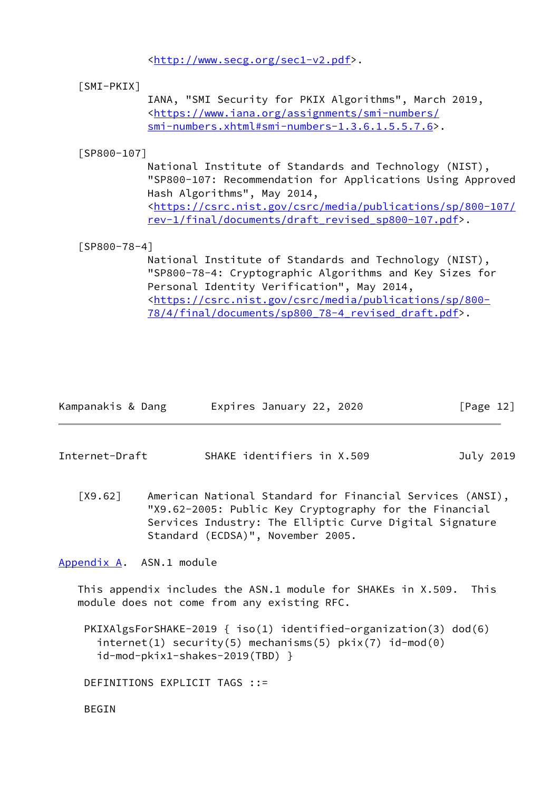<[http://www.secg.org/sec1-v2.pdf>](http://www.secg.org/sec1-v2.pdf).

## <span id="page-13-3"></span>[SMI-PKIX]

 IANA, "SMI Security for PKIX Algorithms", March 2019, <[https://www.iana.org/assignments/smi-numbers/](https://www.iana.org/assignments/smi-numbers/smi-numbers.xhtml#smi-numbers-1.3.6.1.5.5.7.6) [smi-numbers.xhtml#smi-numbers-1.3.6.1.5.5.7.6>](https://www.iana.org/assignments/smi-numbers/smi-numbers.xhtml#smi-numbers-1.3.6.1.5.5.7.6).

### <span id="page-13-5"></span>[SP800-107]

 National Institute of Standards and Technology (NIST), "SP800-107: Recommendation for Applications Using Approved Hash Algorithms", May 2014, <[https://csrc.nist.gov/csrc/media/publications/sp/800-107/](https://csrc.nist.gov/csrc/media/publications/sp/800-107/rev-1/final/documents/draft_revised_sp800-107.pdf) [rev-1/final/documents/draft\\_revised\\_sp800-107.pdf>](https://csrc.nist.gov/csrc/media/publications/sp/800-107/rev-1/final/documents/draft_revised_sp800-107.pdf).

### <span id="page-13-4"></span>[SP800-78-4]

 National Institute of Standards and Technology (NIST), "SP800-78-4: Cryptographic Algorithms and Key Sizes for Personal Identity Verification", May 2014, <[https://csrc.nist.gov/csrc/media/publications/sp/800-](https://csrc.nist.gov/csrc/media/publications/sp/800-78/4/final/documents/sp800_78-4_revised_draft.pdf) [78/4/final/documents/sp800\\_78-4\\_revised\\_draft.pdf>](https://csrc.nist.gov/csrc/media/publications/sp/800-78/4/final/documents/sp800_78-4_revised_draft.pdf).

| Kampanakis & Dang | Expires January 22, 2020 | [Page 12] |
|-------------------|--------------------------|-----------|
|-------------------|--------------------------|-----------|

<span id="page-13-1"></span>Internet-Draft SHAKE identifiers in X.509 July 2019

<span id="page-13-2"></span> [X9.62] American National Standard for Financial Services (ANSI), "X9.62-2005: Public Key Cryptography for the Financial Services Industry: The Elliptic Curve Digital Signature Standard (ECDSA)", November 2005.

<span id="page-13-0"></span>[Appendix A.](#page-13-0) ASN.1 module

 This appendix includes the ASN.1 module for SHAKEs in X.509. This module does not come from any existing RFC.

 PKIXAlgsForSHAKE-2019 { iso(1) identified-organization(3) dod(6)  $internet(1)$  security(5) mechanisms(5)  $pix(7)$  id-mod(0) id-mod-pkix1-shakes-2019(TBD) }

DEFINITIONS EXPLICIT TAGS ::=

BEGIN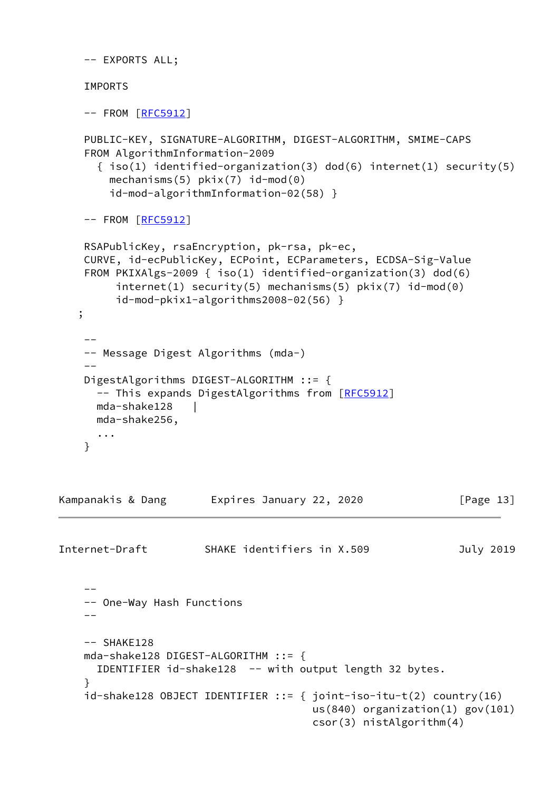```
 -- EXPORTS ALL;
```
IMPORTS

```
[RFC5912]
```

```
 PUBLIC-KEY, SIGNATURE-ALGORITHM, DIGEST-ALGORITHM, SMIME-CAPS
     FROM AlgorithmInformation-2009
      { iso(1) identified-organization(3) dod(6) internet(1) security(5)
       mechanisms(5) pkix(7) id-mod(0)
        id-mod-algorithmInformation-02(58) }
    [RFC5912]
     RSAPublicKey, rsaEncryption, pk-rsa, pk-ec,
    CURVE, id-ecPublicKey, ECPoint, ECParameters, ECDSA-Sig-Value
     FROM PKIXAlgs-2009 { iso(1) identified-organization(3) dod(6)
         internet(1) security(5) mechanisms(5) pkix(7) id-mod(0)
         id-mod-pkix1-algorithms2008-02(56) }
    ;
 --
     -- Message Digest Algorithms (mda-)
 --
    DigestAlgorithms DIGEST-ALGORITHM ::= {
     [RFC5912]
      mda-shake128 |
      mda-shake256,
      ...
    }
Kampanakis & Dang         Expires January 22, 2020                 [Page 13]
Internet-Draft SHAKE identifiers in X.509 July 2019
 --
     -- One-Way Hash Functions
    - - -- SHAKE128
    mda-shake128 DIGEST-ALGORITHM ::= {
      IDENTIFIER id-shake128 -- with output length 32 bytes.
     }
     id-shake128 OBJECT IDENTIFIER ::= { joint-iso-itu-t(2) country(16)
                                        us(840) organization(1) gov(101)
                                        csor(3) nistAlgorithm(4)
```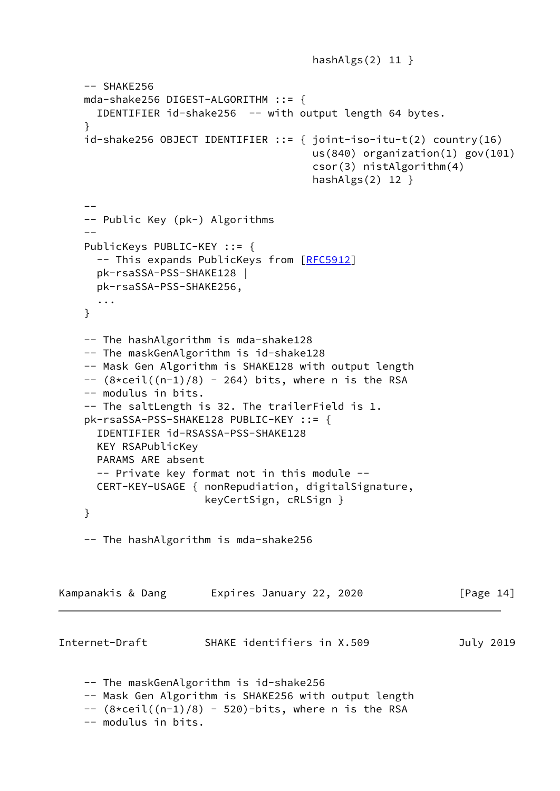```
hashAlgs(2) 11 }
     -- SHAKE256
     mda-shake256 DIGEST-ALGORITHM ::= {
       IDENTIFIER id-shake256 -- with output length 64 bytes.
     }
     id-shake256 OBJECT IDENTIFIER ::= { joint-iso-itu-t(2) country(16)
                                          us(840) organization(1) gov(101)
                                          csor(3) nistAlgorithm(4)
                                          hashAlgs(2) 12 }
 --
     -- Public Key (pk-) Algorithms
 --
     PublicKeys PUBLIC-KEY ::= {
       -- This expands PublicKeys from [RFC5912]
       pk-rsaSSA-PSS-SHAKE128 |
       pk-rsaSSA-PSS-SHAKE256,
       ...
     }
     -- The hashAlgorithm is mda-shake128
     -- The maskGenAlgorithm is id-shake128
     -- Mask Gen Algorithm is SHAKE128 with output length
    -- (8 \times \text{ceil}((n-1)/8) - 264) bits, where n is the RSA
     -- modulus in bits.
     -- The saltLength is 32. The trailerField is 1.
     pk-rsaSSA-PSS-SHAKE128 PUBLIC-KEY ::= {
       IDENTIFIER id-RSASSA-PSS-SHAKE128
       KEY RSAPublicKey
       PARAMS ARE absent
       -- Private key format not in this module --
       CERT-KEY-USAGE { nonRepudiation, digitalSignature,
                        keyCertSign, cRLSign }
     }
     -- The hashAlgorithm is mda-shake256
Kampanakis & Dang     Expires January 22, 2020           [Page 14]
Internet-Draft SHAKE identifiers in X.509 July 2019
     -- The maskGenAlgorithm is id-shake256
     -- Mask Gen Algorithm is SHAKE256 with output length
    -- (8 \times \text{ceil}((n-1)/8) - 520)-bits, where n is the RSA
     -- modulus in bits.
```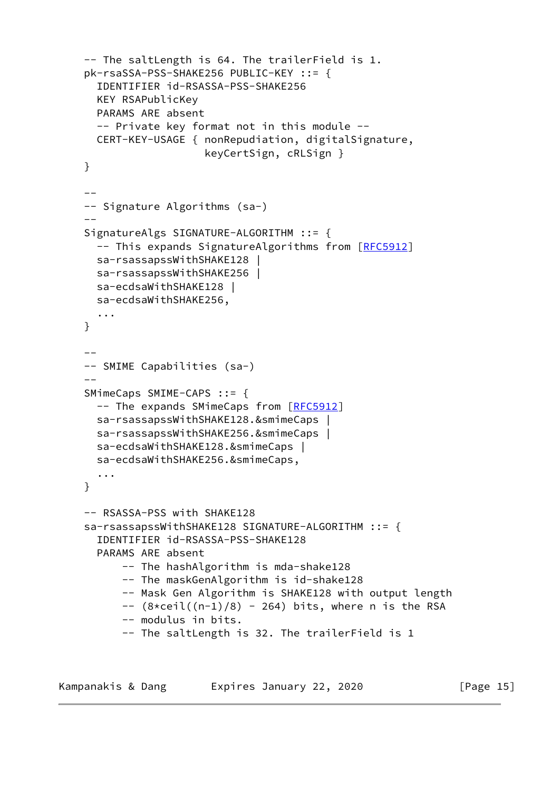```
 -- The saltLength is 64. The trailerField is 1.
    pk-rsaSSA-PSS-SHAKE256 PUBLIC-KEY ::= {
      IDENTIFIER id-RSASSA-PSS-SHAKE256
      KEY RSAPublicKey
      PARAMS ARE absent
      -- Private key format not in this module --
      CERT-KEY-USAGE { nonRepudiation, digitalSignature,
                       keyCertSign, cRLSign }
    }
 --
    -- Signature Algorithms (sa-)
   - SignatureAlgs SIGNATURE-ALGORITHM ::= {
     [RFC5912]
      sa-rsassapssWithSHAKE128 |
      sa-rsassapssWithSHAKE256 |
      sa-ecdsaWithSHAKE128 |
      sa-ecdsaWithSHAKE256,
      ...
    }
 --
    -- SMIME Capabilities (sa-)
 --
    SMimeCaps SMIME-CAPS ::= {
     [RFC5912]
      sa-rsassapssWithSHAKE128.&smimeCaps |
      sa-rsassapssWithSHAKE256.&smimeCaps |
      sa-ecdsaWithSHAKE128.&smimeCaps |
      sa-ecdsaWithSHAKE256.&smimeCaps,
      ...
    }
    -- RSASSA-PSS with SHAKE128
    sa-rsassapssWithSHAKE128 SIGNATURE-ALGORITHM ::= {
      IDENTIFIER id-RSASSA-PSS-SHAKE128
      PARAMS ARE absent
          -- The hashAlgorithm is mda-shake128
          -- The maskGenAlgorithm is id-shake128
          -- Mask Gen Algorithm is SHAKE128 with output length
         -- (8 \times \text{ceil}((n-1)/8) - 264) bits, where n is the RSA
          -- modulus in bits.
          -- The saltLength is 32. The trailerField is 1
```
Kampanakis & Dang [Page 15]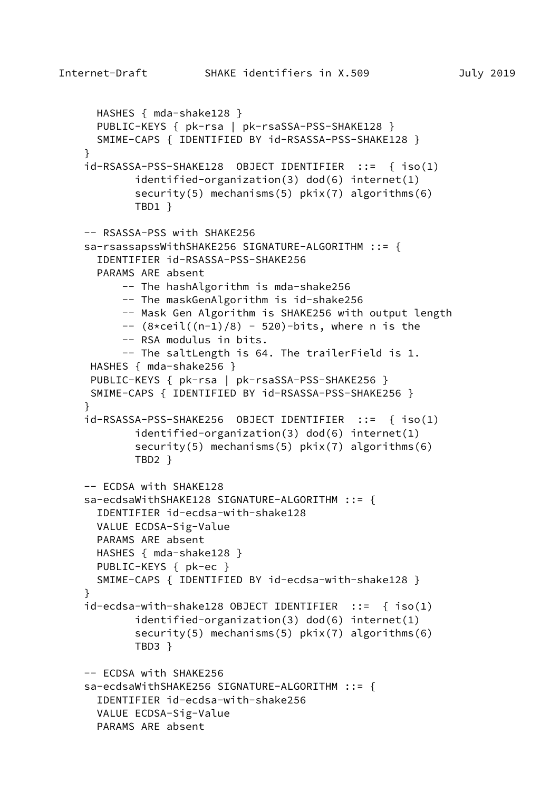```
 HASHES { mda-shake128 }
 PUBLIC-KEYS { pk-rsa | pk-rsaSSA-PSS-SHAKE128 }
  SMIME-CAPS { IDENTIFIED BY id-RSASSA-PSS-SHAKE128 }
 }
 id-RSASSA-PSS-SHAKE128 OBJECT IDENTIFIER ::= { iso(1)
         identified-organization(3) dod(6) internet(1)
        security(5) mechanisms(5) pkix(7) algorithms(6)
         TBD1 }
 -- RSASSA-PSS with SHAKE256
 sa-rsassapssWithSHAKE256 SIGNATURE-ALGORITHM ::= {
  IDENTIFIER id-RSASSA-PSS-SHAKE256
  PARAMS ARE absent
       -- The hashAlgorithm is mda-shake256
       -- The maskGenAlgorithm is id-shake256
       -- Mask Gen Algorithm is SHAKE256 with output length
      -- (8 \times \text{ceil}((n-1)/8) - 520)-bits, where n is the
       -- RSA modulus in bits.
       -- The saltLength is 64. The trailerField is 1.
  HASHES { mda-shake256 }
 PUBLIC-KEYS { pk-rsa | pk-rsaSSA-PSS-SHAKE256 }
  SMIME-CAPS { IDENTIFIED BY id-RSASSA-PSS-SHAKE256 }
 }
 id-RSASSA-PSS-SHAKE256 OBJECT IDENTIFIER ::= { iso(1)
         identified-organization(3) dod(6) internet(1)
         security(5) mechanisms(5) pkix(7) algorithms(6)
         TBD2 }
 -- ECDSA with SHAKE128
 sa-ecdsaWithSHAKE128 SIGNATURE-ALGORITHM ::= {
  IDENTIFIER id-ecdsa-with-shake128
  VALUE ECDSA-Sig-Value
  PARAMS ARE absent
 HASHES { mda-shake128 }
  PUBLIC-KEYS { pk-ec }
  SMIME-CAPS { IDENTIFIED BY id-ecdsa-with-shake128 }
 }
 id-ecdsa-with-shake128 OBJECT IDENTIFIER ::= { iso(1)
         identified-organization(3) dod(6) internet(1)
        security(5) mechanisms(5) pkix(7) algorithms(6)
         TBD3 }
 -- ECDSA with SHAKE256
 sa-ecdsaWithSHAKE256 SIGNATURE-ALGORITHM ::= {
   IDENTIFIER id-ecdsa-with-shake256
  VALUE ECDSA-Sig-Value
  PARAMS ARE absent
```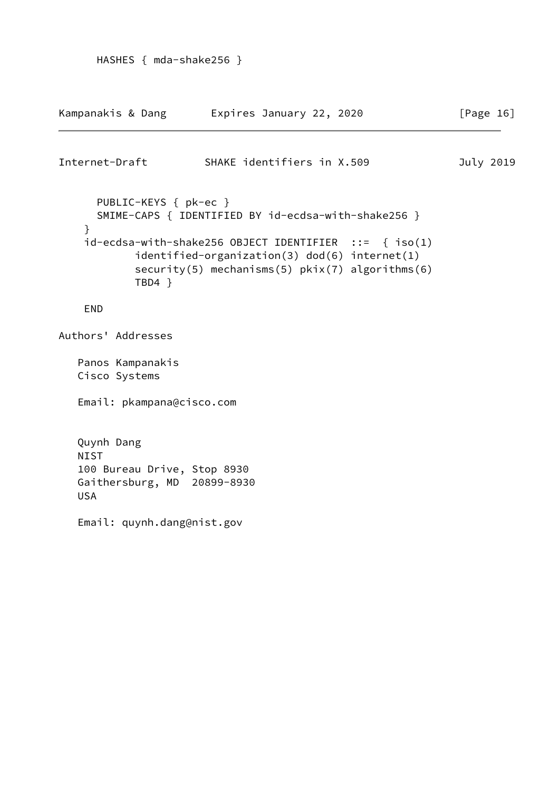```
Kampanakis & Dang     Expires January 22, 2020           [Page 16]
Internet-Draft SHAKE identifiers in X.509 July 2019
      PUBLIC-KEYS { pk-ec }
      SMIME-CAPS { IDENTIFIED BY id-ecdsa-with-shake256 }
    }
    id-ecdsa-with-shake256 OBJECT IDENTIFIER ::= { iso(1)
            identified-organization(3) dod(6) internet(1)
            security(5) mechanisms(5) pkix(7) algorithms(6)
            TBD4 }
    END
Authors' Addresses
   Panos Kampanakis
   Cisco Systems
   Email: pkampana@cisco.com
   Quynh Dang
   NIST
   100 Bureau Drive, Stop 8930
   Gaithersburg, MD 20899-8930
   USA
   Email: quynh.dang@nist.gov
```